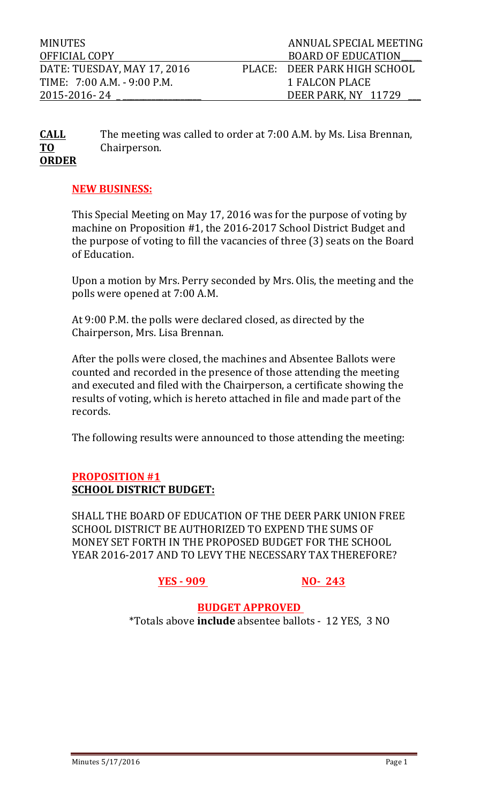MINUTES ANNUAL SPECIAL MEETING OFFICIAL COPY DERITY AND SOARD OF EDUCATION DATE: TUESDAY, MAY 17, 2016 PLACE: DEER PARK HIGH SCHOOL TIME: 7:00 A.M. - 9:00 P.M. 1 FALCON PLACE 2015-2016- 24 \_ \_\_\_\_\_\_\_\_\_\_\_\_\_\_\_\_\_\_\_ DEER PARK, NY 11729 \_\_\_ 

**CALL** The meeting was called to order at 7:00 A.M. by Ms. Lisa Brennan, **TO** Chairperson. **ORDER**

### **NEW BUSINESS:**

This Special Meeting on May 17, 2016 was for the purpose of voting by machine on Proposition #1, the 2016-2017 School District Budget and the purpose of voting to fill the vacancies of three (3) seats on the Board of Education.

Upon a motion by Mrs. Perry seconded by Mrs. Olis, the meeting and the polls were opened at 7:00 A.M.

At 9:00 P.M. the polls were declared closed, as directed by the Chairperson, Mrs. Lisa Brennan.

After the polls were closed, the machines and Absentee Ballots were counted and recorded in the presence of those attending the meeting and executed and filed with the Chairperson, a certificate showing the results of voting, which is hereto attached in file and made part of the records.

The following results were announced to those attending the meeting:

### **PROPOSITION #1 SCHOOL DISTRICT BUDGET:**

SHALL THE BOARD OF EDUCATION OF THE DEER PARK UNION FREE SCHOOL DISTRICT BE AUTHORIZED TO EXPEND THE SUMS OF MONEY SET FORTH IN THE PROPOSED BUDGET FOR THE SCHOOL YEAR 2016-2017 AND TO LEVY THE NECESSARY TAX THEREFORE?

**YES - 909 NO- 243**

*BUDGET APPROVED* \*Totals above **include** absentee ballots - 12 YES, 3 NO